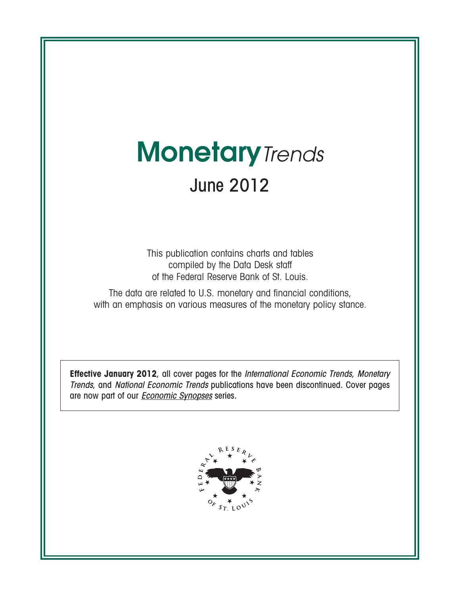# **Monetary**Trends June 2012

This publication contains charts and tables compiled by the Data Desk staff of the Federal Reserve Bank of St. Louis.

The data are related to U.S. monetary and financial conditions, with an emphasis on various measures of the monetary policy stance.

**Effective January 2012**, all cover pages for the International Economic Trends, Monetary Trends, and National Economic Trends publications have been discontinued. Cover pages are now part of our **[Economic Synopses](http://research.stlouisfed.org/publications/es/)** series.

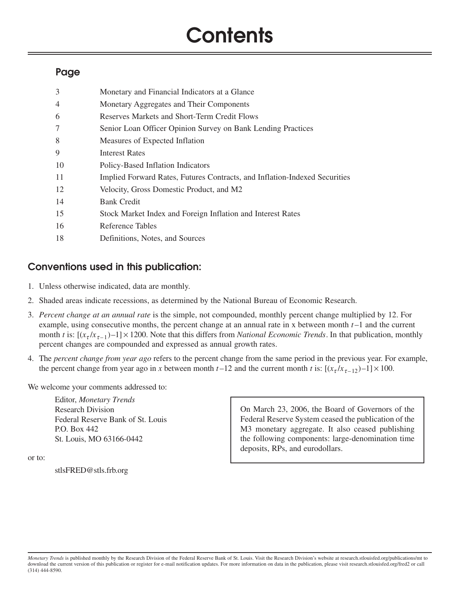# **Contents**

# **Page**

| 3  | Monetary and Financial Indicators at a Glance                              |
|----|----------------------------------------------------------------------------|
| 4  | Monetary Aggregates and Their Components                                   |
| 6  | Reserves Markets and Short-Term Credit Flows                               |
| 7  | Senior Loan Officer Opinion Survey on Bank Lending Practices               |
| 8  | Measures of Expected Inflation                                             |
| 9  | <b>Interest Rates</b>                                                      |
| 10 | Policy-Based Inflation Indicators                                          |
| 11 | Implied Forward Rates, Futures Contracts, and Inflation-Indexed Securities |
| 12 | Velocity, Gross Domestic Product, and M2                                   |
| 14 | <b>Bank Credit</b>                                                         |
| 15 | Stock Market Index and Foreign Inflation and Interest Rates                |
| 16 | Reference Tables                                                           |
| 18 | Definitions, Notes, and Sources                                            |

# **Conventions used in this publication:**

- 1. Unless otherwise indicated, data are monthly.
- 2. Shaded areas indicate recessions, as determined by the National Bureau of Economic Research.
- 3. *Percent change at an annual rate* is the simple, not compounded, monthly percent change multiplied by 12. For example, using consecutive months, the percent change at an annual rate in x between month *t* –1 and the current month *t* is:  $[(x_t/x_{t-1})-1] \times 1200$ . Note that this differs from *National Economic Trends*. In that publication, monthly percent changes are compounded and expressed as annual growth rates.
- 4. The *percent change from year ago* refers to the percent change from the same period in the previous year. For example, the percent change from year ago in *x* between month  $t-12$  and the current month *t* is:  $[(x_t/x_{t-12})-1] \times 100$ .

We welcome your comments addressed to:

Editor, *Monetary Trends* Research Division Federal Reserve Bank of St. Louis P.O. Box 442 St. Louis, MO 63166-0442

or to:

stlsFRED@stls.frb.org

On March 23, 2006, the Board of Governors of the Federal Reserve System ceased the publication of the M3 monetary aggregate. It also ceased publishing the following components: large-denomination time deposits, RPs, and eurodollars.

*Monetary Trends* is published monthly by the Research Division of the Federal Reserve Bank of St. Louis. Visit the Research Division's website at research.stlouisfed.org/publications/mt to download the current version of this publication or register for e-mail notification updates. For more information on data in the publication, please visit research.stlouisfed.org/fred2 or call (314) 444-8590.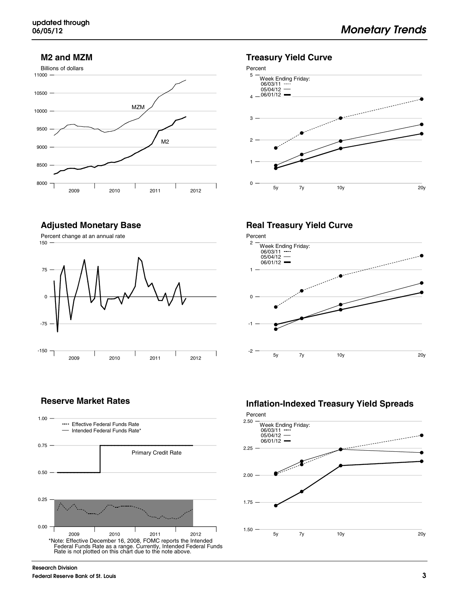#### **M2 and MZM**





#### **Adjusted Monetary Base**





### **Reserve Market Rates**



### **Real Treasury Yield Curve**



### **Inflation-Indexed Treasury Yield Spreads**



**Research Division Federal Reserve Bank of St. Louis**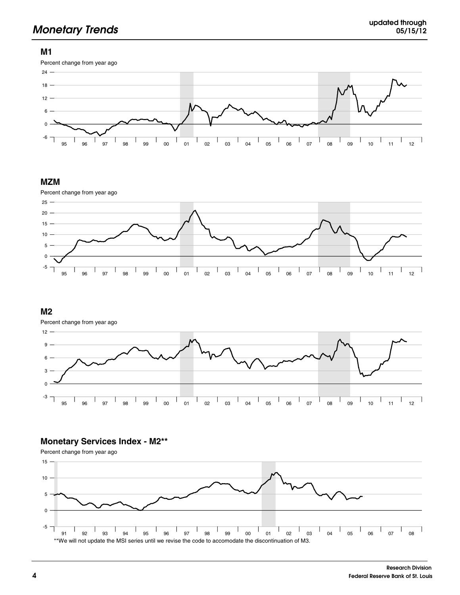# **Monetary Trends updated through**

#### **M1**



#### **MZM**



#### **M2**

Percent change from year ago



### **Monetary Services Index - M2\*\***

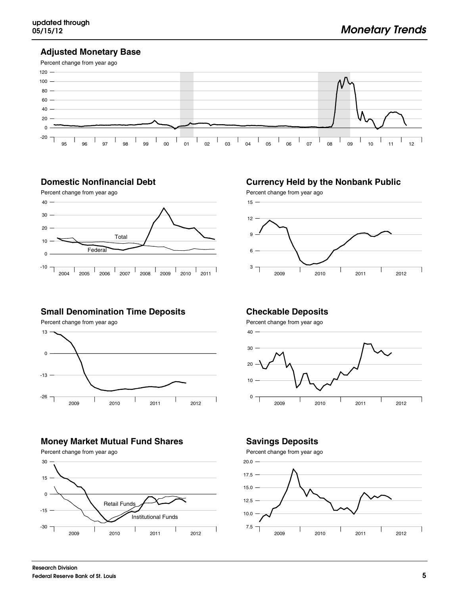### **Adjusted Monetary Base**



### **Domestic Nonfinancial Debt**



## **Small Denomination Time Deposits**

Percent change from year ago



# **Money Market Mutual Fund Shares**

Percent change from year ago 0 15 30



# **Currency Held by the Nonbank Public**



### **Checkable Deposits**

Percent change from year ago



# **Savings Deposits**

Percent change from year ago



-15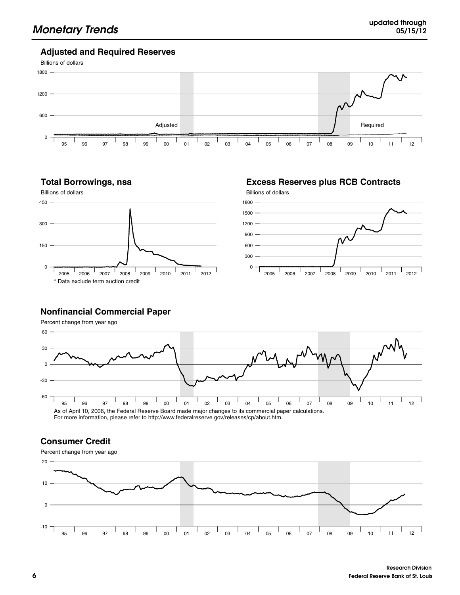#### **Adjusted and Required Reserves**



#### **Total Borrowings, nsa**



**Excess Reserves plus RCB Contracts**



#### **Nonfinancial Commercial Paper**

Percent change from year ago



For more information, please refer to http://www.federalreserve.gov/releases/cp/about.htm.

#### **Consumer Credit**

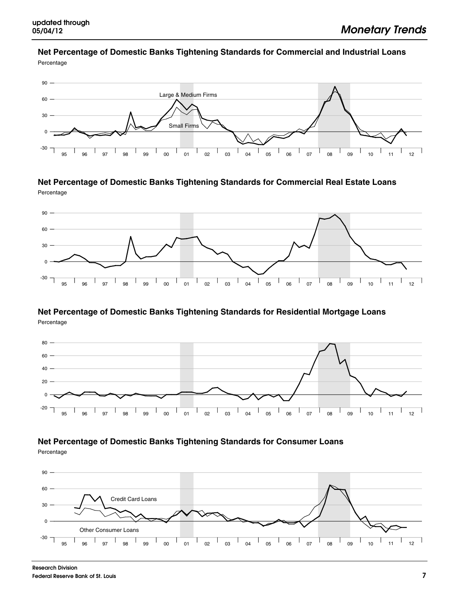### **Net Percentage of Domestic Banks Tightening Standards for Commercial and Industrial Loans**

Percentage



**Net Percentage of Domestic Banks Tightening Standards for Commercial Real Estate Loans** Percentage



#### **Net Percentage of Domestic Banks Tightening Standards for Residential Mortgage Loans** Percentage



# **Net Percentage of Domestic Banks Tightening Standards for Consumer Loans**

Percentage

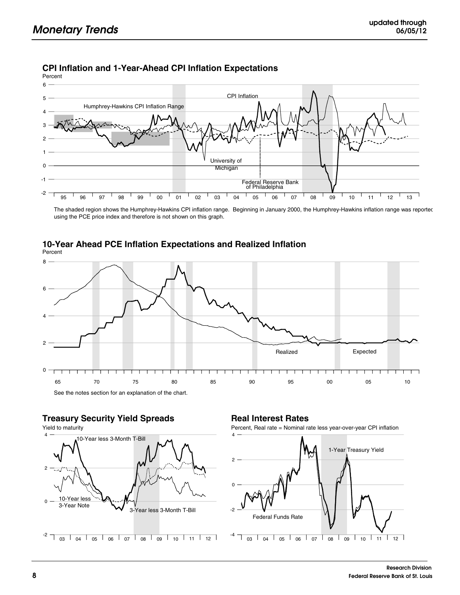### **CPI Inflation and 1-Year-Ahead CPI Inflation Expectations**

Percent



The shaded region shows the Humphrey-Hawkins CPI inflation range. Beginning in January 2000, the Humphrey-Hawkins inflation range was reported using the PCE price index and therefore is not shown on this graph.



#### **10-Year Ahead PCE Inflation Expectations and Realized Inflation** Percent

**Treasury Security Yield Spreads**



### **Real Interest Rates**

Percent, Real rate = Nominal rate less year-over-year CPI inflation

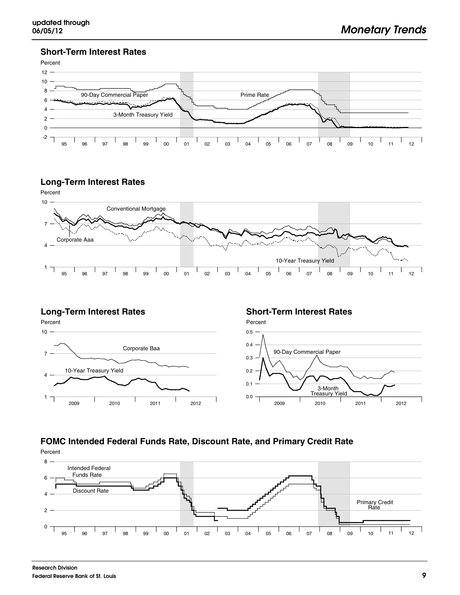### **Short-Term Interest Rates**



### **Long-Term Interest Rates**



### **Long-Term Interest Rates**

Percent



#### **Short-Term Interest Rates**



# **FOMC Intended Federal Funds Rate, Discount Rate, and Primary Credit Rate**

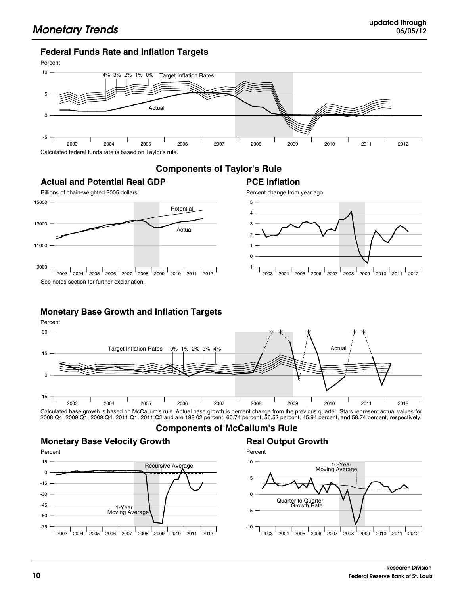### **Federal Funds Rate and Inflation Targets**



# **Components of Taylor's Rule**



### **Monetary Base Growth and Inflation Targets**



Calculated base growth is based on McCallum's rule. Actual base growth is percent change from the previous quarter. Stars represent actual values for<br>2008:Q4, 2009:Q1, 2009:Q4, 2011:Q1, 2011:Q2 and are 188.02 percent, 60.7

### **Components of McCallum's Rule**

#### **Monetary Base Velocity Growth**



# **Real Output Growth**



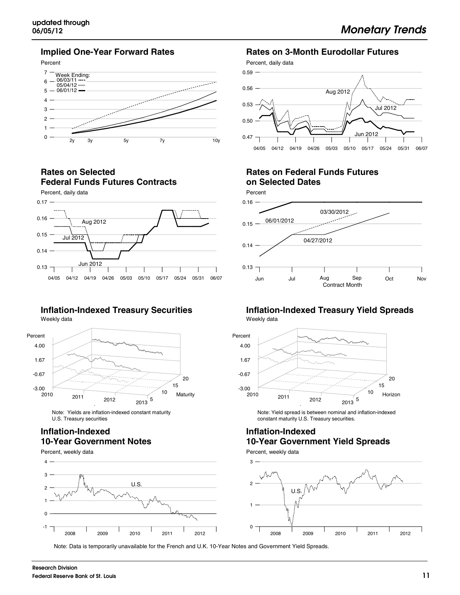#### **Implied One-Year Forward Rates**



#### **Rates on Selected Federal Funds Futures Contracts**



#### **Inflation-Indexed Treasury Securities** Weekly data



Note: Yields are inflation-indexed constant maturity U.S. Treasury securities

#### **Inflation-Indexed 10-Year Government Notes**





#### **Rates on 3-Month Eurodollar Futures**

Percent, daily data



## **Rates on Federal Funds Futures on Selected Dates**



#### **Inflation-Indexed Treasury Yield Spreads** Weekly data



Note: Yield spread is between nominal and inflation-indexed constant maturity U.S. Treasury securities.

### **Inflation-Indexed 10-Year Government Yield Spreads**

Percent, weekly data



Note: Data is temporarily unavailable for the French and U.K. 10-Year Notes and Government Yield Spreads.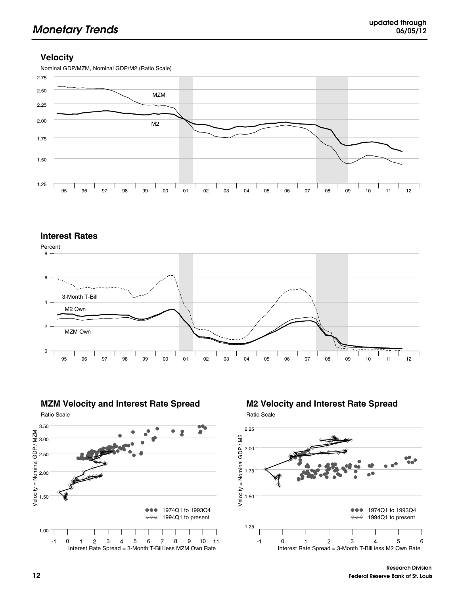### **Velocity**



#### **Interest Rates**







Ratio Scale **M2 Velocity and Interest Rate Spread**

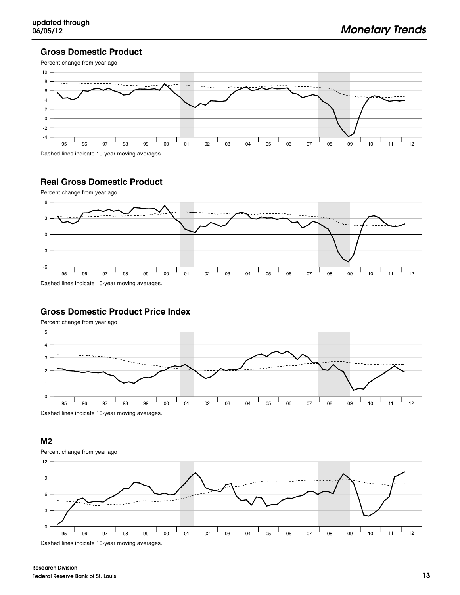#### **Gross Domestic Product**



# **Real Gross Domestic Product**



#### **Gross Domestic Product Price Index**

Percent change from year ago



Dashed lines indicate 10-year moving averages.

#### **M2**

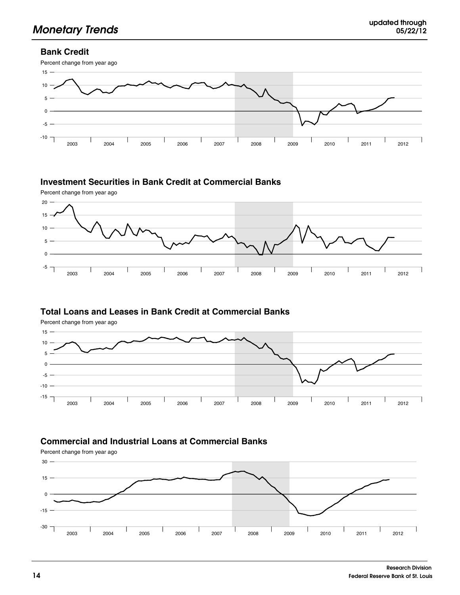## **Bank Credit**



## **Investment Securities in Bank Credit at Commercial Banks**





### **Total Loans and Leases in Bank Credit at Commercial Banks**





# **Commercial and Industrial Loans at Commercial Banks**

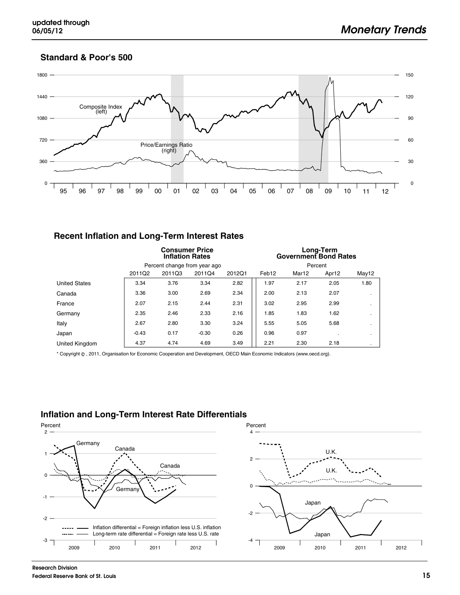### **Standard & Poor's 500**



#### **Recent Inflation and Long-Term Interest Rates**

|                      | <b>Consumer Price</b><br><b>Inflation Rates</b> |                            |                              |      | Long-Term<br><b>Government Bond Rates</b> |       |       |              |  |
|----------------------|-------------------------------------------------|----------------------------|------------------------------|------|-------------------------------------------|-------|-------|--------------|--|
|                      |                                                 |                            | Percent change from year ago |      | Percent                                   |       |       |              |  |
|                      | 2011Q2                                          | 2011Q3<br>2011Q4<br>2012Q1 |                              |      |                                           | Mar12 | Apr12 | May12        |  |
| <b>United States</b> | 3.34                                            | 3.76                       | 3.34                         | 2.82 | 1.97                                      | 2.17  | 2.05  | 1.80         |  |
| Canada               | 3.36                                            | 3.00                       | 2.69                         | 2.34 | 2.00                                      | 2.13  | 2.07  | $\cdot$      |  |
| France               | 2.07                                            | 2.15                       | 2.44                         | 2.31 | 3.02                                      | 2.95  | 2.99  | $\cdot$      |  |
| Germany              | 2.35                                            | 2.46                       | 2.33                         | 2.16 | 1.85                                      | 1.83  | 1.62  | $\bullet$    |  |
| Italy                | 2.67                                            | 2.80                       | 3.30                         | 3.24 | 5.55                                      | 5.05  | 5.68  | $\cdot$      |  |
| Japan                | $-0.43$                                         | 0.17                       | $-0.30$                      | 0.26 | 0.96                                      | 0.97  |       | $\mathbf{r}$ |  |
| United Kingdom       | 4.37                                            | 4.74                       | 4.69                         | 3.49 | 2.21                                      | 2.30  | 2.18  | $\mathbf{r}$ |  |

\* Copyright , 2011, Organisation for Economic Cooperation and Development, OECD Main Economic Indicators (www.oecd.org).

## **Inflation and Long-Term Interest Rate Differentials**



1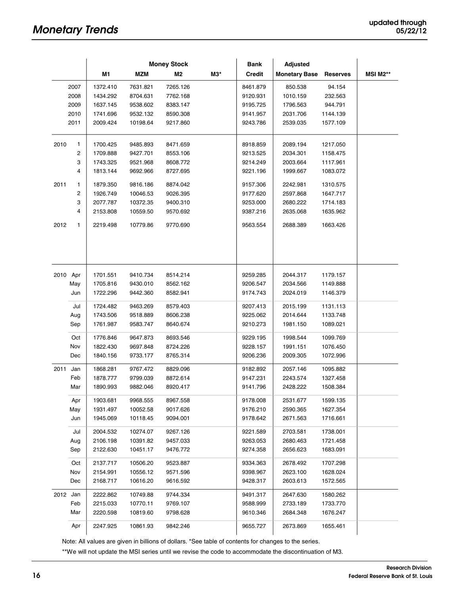|          |      | <b>Money Stock</b> |            | <b>Adjusted</b><br><b>Bank</b> |     |               |                      |                 |                 |
|----------|------|--------------------|------------|--------------------------------|-----|---------------|----------------------|-----------------|-----------------|
|          |      | M1                 | <b>MZM</b> | M <sub>2</sub>                 | M3* | <b>Credit</b> | <b>Monetary Base</b> | <b>Reserves</b> | <b>MSI M2**</b> |
|          | 2007 | 1372.410           | 7631.821   | 7265.126                       |     | 8461.879      | 850.538              | 94.154          |                 |
|          | 2008 | 1434.292           | 8704.631   | 7762.168                       |     | 9120.931      | 1010.159             | 232.563         |                 |
|          | 2009 | 1637.145           | 9538.602   | 8383.147                       |     | 9195.725      | 1796.563             | 944.791         |                 |
|          | 2010 | 1741.696           | 9532.132   | 8590.308                       |     | 9141.957      | 2031.706             | 1144.139        |                 |
|          | 2011 | 2009.424           | 10198.64   | 9217.860                       |     | 9243.786      | 2539.035             | 1577.109        |                 |
| 2010     | 1    | 1700.425           | 9485.893   | 8471.659                       |     | 8918.859      | 2089.194             | 1217.050        |                 |
|          | 2    | 1709.888           | 9427.701   | 8553.106                       |     | 9213.525      | 2034.301             | 1158.475        |                 |
|          | 3    | 1743.325           | 9521.968   | 8608.772                       |     | 9214.249      | 2003.664             | 1117.961        |                 |
|          | 4    | 1813.144           | 9692.966   | 8727.695                       |     | 9221.196      | 1999.667             | 1083.072        |                 |
| 2011     | 1    | 1879.350           | 9816.186   | 8874.042                       |     | 9157.306      | 2242.981             | 1310.575        |                 |
|          | 2    | 1926.749           | 10046.53   | 9026.395                       |     | 9177.620      | 2597.868             | 1647.717        |                 |
|          | 3    | 2077.787           | 10372.35   | 9400.310                       |     | 9253.000      | 2680.222             | 1714.183        |                 |
|          | 4    | 2153.808           | 10559.50   | 9570.692                       |     | 9387.216      | 2635.068             | 1635.962        |                 |
| 2012     | 1    | 2219.498           | 10779.86   | 9770.690                       |     | 9563.554      | 2688.389             | 1663.426        |                 |
|          |      |                    |            |                                |     |               |                      |                 |                 |
| 2010 Apr |      | 1701.551           | 9410.734   | 8514.214                       |     | 9259.285      | 2044.317             | 1179.157        |                 |
|          | May  | 1705.816           | 9430.010   | 8562.162                       |     | 9206.547      | 2034.566             | 1149.888        |                 |
|          | Jun  | 1722.296           | 9442.360   | 8582.941                       |     | 9174.743      | 2024.019             | 1146.379        |                 |
|          | Jul  | 1724.482           | 9463.269   | 8579.403                       |     | 9207.413      | 2015.199             | 1131.113        |                 |
|          | Aug  | 1743.506           | 9518.889   | 8606.238                       |     | 9225.062      | 2014.644             | 1133.748        |                 |
|          | Sep  | 1761.987           | 9583.747   | 8640.674                       |     | 9210.273      | 1981.150             | 1089.021        |                 |
|          | Oct  | 1776.846           | 9647.873   | 8693.546                       |     | 9229.195      | 1998.544             | 1099.769        |                 |
|          | Nov  | 1822.430           | 9697.848   | 8724.226                       |     | 9228.157      | 1991.151             | 1076.450        |                 |
|          | Dec  | 1840.156           | 9733.177   | 8765.314                       |     | 9206.236      | 2009.305             | 1072.996        |                 |
| 2011 Jan |      | 1868.281           | 9767.472   | 8829.096                       |     | 9182.892      | 2057.146             | 1095.882        |                 |
|          | Feb  | 1878.777           | 9799.039   | 8872.614                       |     | 9147.231      | 2243.574             | 1327.458        |                 |
|          | Mar  | 1890.993           | 9882.046   | 8920.417                       |     | 9141.796      | 2428.222             | 1508.384        |                 |
|          | Apr  | 1903.681           | 9968.555   | 8967.558                       |     | 9178.008      | 2531.677             | 1599.135        |                 |
|          | May  | 1931.497           | 10052.58   | 9017.626                       |     | 9176.210      | 2590.365             | 1627.354        |                 |
|          | Jun  | 1945.069           | 10118.45   | 9094.001                       |     | 9178.642      | 2671.563             | 1716.661        |                 |
|          | Jul  | 2004.532           | 10274.07   | 9267.126                       |     | 9221.589      | 2703.581             | 1738.001        |                 |
|          | Aug  | 2106.198           | 10391.82   | 9457.033                       |     | 9263.053      | 2680.463             | 1721.458        |                 |
|          | Sep  | 2122.630           | 10451.17   | 9476.772                       |     | 9274.358      | 2656.623             | 1683.091        |                 |
|          | Oct  | 2137.717           | 10506.20   | 9523.887                       |     | 9334.363      | 2678.492             | 1707.298        |                 |
|          | Nov  | 2154.991           | 10556.12   | 9571.596                       |     | 9398.967      | 2623.100             | 1628.024        |                 |
|          | Dec  | 2168.717           | 10616.20   | 9616.592                       |     | 9428.317      | 2603.613             | 1572.565        |                 |
| 2012 Jan |      | 2222.862           | 10749.88   | 9744.334                       |     | 9491.317      | 2647.630             | 1580.262        |                 |
|          | Feb  | 2215.033           | 10770.11   | 9769.107                       |     | 9588.999      | 2733.189             | 1733.770        |                 |
|          | Mar  | 2220.598           | 10819.60   | 9798.628                       |     | 9610.346      | 2684.348             | 1676.247        |                 |
|          | Apr  | 2247.925           | 10861.93   | 9842.246                       |     | 9655.727      | 2673.869             | 1655.461        |                 |

Note: All values are given in billions of dollars. \*See table of contents for changes to the series.

\*\*We will not update the MSI series until we revise the code to accommodate the discontinuation of M3.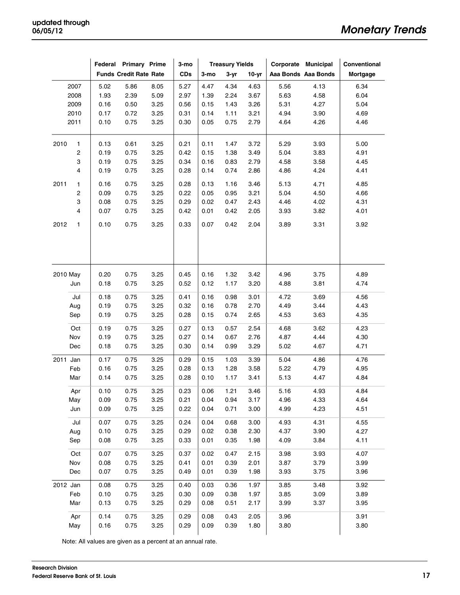|          |      |              | Federal Primary Prime         |              | 3-mo         | <b>Treasury Yields</b> |              | Corporate Municipal |              | Conventional        |              |
|----------|------|--------------|-------------------------------|--------------|--------------|------------------------|--------------|---------------------|--------------|---------------------|--------------|
|          |      |              | <b>Funds Credit Rate Rate</b> |              | <b>CDs</b>   | 3-mo                   | $3 - yr$     | $10-yr$             |              | Aaa Bonds Aaa Bonds | Mortgage     |
|          | 2007 | 5.02         | 5.86                          | 8.05         | 5.27         | 4.47                   | 4.34         | 4.63                | 5.56         | 4.13                | 6.34         |
|          | 2008 | 1.93         | 2.39                          | 5.09         | 2.97         | 1.39                   | 2.24         | 3.67                | 5.63         | 4.58                | 6.04         |
|          | 2009 | 0.16         | 0.50                          | 3.25         | 0.56         | 0.15                   | 1.43         | 3.26                | 5.31         | 4.27                | 5.04         |
|          | 2010 | 0.17         | 0.72                          | 3.25         | 0.31         | 0.14                   | 1.11         | 3.21                | 4.94         | 3.90                | 4.69         |
|          | 2011 | 0.10         | 0.75                          | 3.25         | 0.30         | 0.05                   | 0.75         | 2.79                | 4.64         | 4.26                | 4.46         |
| 2010     | 1    | 0.13         | 0.61                          | 3.25         | 0.21         | 0.11                   | 1.47         | 3.72                | 5.29         | 3.93                | 5.00         |
|          | 2    | 0.19         | 0.75                          | 3.25         | 0.42         | 0.15                   | 1.38         | 3.49                | 5.04         | 3.83                | 4.91         |
|          | 3    | 0.19         | 0.75                          | 3.25         | 0.34         | 0.16                   | 0.83         | 2.79                | 4.58         | 3.58                | 4.45         |
|          | 4    | 0.19         | 0.75                          | 3.25         | 0.28         | 0.14                   | 0.74         | 2.86                | 4.86         | 4.24                | 4.41         |
| 2011     | 1    | 0.16         | 0.75                          | 3.25         | 0.28         | 0.13                   | 1.16         | 3.46                | 5.13         | 4.71                | 4.85         |
|          | 2    | 0.09         | 0.75                          | 3.25         | 0.22         | 0.05                   | 0.95         | 3.21                | 5.04         | 4.50                | 4.66         |
|          | 3    | 0.08         | 0.75                          | 3.25         | 0.29         | 0.02                   | 0.47         | 2.43                | 4.46         | 4.02                | 4.31         |
|          | 4    | 0.07         | 0.75                          | 3.25         | 0.42         | 0.01                   | 0.42         | 2.05                | 3.93         | 3.82                | 4.01         |
| 2012     | 1    | 0.10         | 0.75                          | 3.25         | 0.33         | 0.07                   | 0.42         | 2.04                | 3.89         | 3.31                | 3.92         |
| 2010 May | Jun  | 0.20<br>0.18 | 0.75<br>0.75                  | 3.25<br>3.25 | 0.45<br>0.52 | 0.16<br>0.12           | 1.32<br>1.17 | 3.42<br>3.20        | 4.96<br>4.88 | 3.75<br>3.81        | 4.89<br>4.74 |
|          | Jul  | 0.18         | 0.75                          | 3.25         | 0.41         | 0.16                   | 0.98         | 3.01                | 4.72         | 3.69                | 4.56         |
|          | Aug  | 0.19         | 0.75                          | 3.25         | 0.32         | 0.16                   | 0.78         | 2.70                | 4.49         | 3.44                | 4.43         |
|          | Sep  | 0.19         | 0.75                          | 3.25         | 0.28         | 0.15                   | 0.74         | 2.65                | 4.53         | 3.63                | 4.35         |
|          | Oct  | 0.19         | 0.75                          | 3.25         | 0.27         | 0.13                   | 0.57         | 2.54                | 4.68         | 3.62                | 4.23         |
|          | Nov  | 0.19         | 0.75                          | 3.25         | 0.27         | 0.14                   | 0.67         | 2.76                | 4.87         | 4.44                | 4.30         |
|          | Dec  | 0.18         | 0.75                          | 3.25         | 0.30         | 0.14                   | 0.99         | 3.29                | 5.02         | 4.67                | 4.71         |
| 2011 Jan |      | 0.17         | 0.75                          | 3.25         | 0.29         | 0.15                   | 1.03         | 3.39                | 5.04         | 4.86                | 4.76         |
|          | Feb  | 0.16         | 0.75                          | 3.25         | 0.28         | 0.13                   | 1.28         | 3.58                | 5.22         | 4.79                | 4.95         |
|          | Mar  | 0.14         | 0.75                          | 3.25         | 0.28         | 0.10                   | 1.17         | 3.41                | 5.13         | 4.47                | 4.84         |
|          | Apr  | 0.10         | 0.75                          | 3.25         | 0.23         | 0.06                   | 1.21         | 3.46                | 5.16         | 4.93                | 4.84         |
|          | May  | 0.09         | 0.75                          | 3.25         | 0.21         | 0.04                   | 0.94         | 3.17                | 4.96         | 4.33                | 4.64         |
|          | Jun  | 0.09         | 0.75                          | 3.25         | 0.22         | 0.04                   | 0.71         | 3.00                | 4.99         | 4.23                | 4.51         |
|          | Jul  | 0.07         | 0.75                          | 3.25         | 0.24         | 0.04                   | 0.68         | 3.00                | 4.93         | 4.31                | 4.55         |
|          | Aug  | 0.10         | 0.75                          | 3.25         | 0.29         | 0.02                   | 0.38         | 2.30                | 4.37         | 3.90                | 4.27         |
|          | Sep  | 0.08         | 0.75                          | 3.25         | 0.33         | 0.01                   | 0.35         | 1.98                | 4.09         | 3.84                | 4.11         |
|          | Oct  | 0.07         | 0.75                          | 3.25         | 0.37         | 0.02                   | 0.47         | 2.15                | 3.98         | 3.93                | 4.07         |
|          | Nov  | 0.08         | 0.75                          | 3.25         | 0.41         | 0.01                   | 0.39         | 2.01                | 3.87         | 3.79                | 3.99         |
|          | Dec  | 0.07         | 0.75                          | 3.25         | 0.49         | 0.01                   | 0.39         | 1.98                | 3.93         | 3.75                | 3.96         |
| 2012 Jan |      | 0.08         | 0.75                          | 3.25         | 0.40         | 0.03                   | 0.36         | 1.97                | 3.85         | 3.48                | 3.92         |
|          | Feb  | 0.10         | 0.75                          | 3.25         | 0.30         | 0.09                   | 0.38         | 1.97                | 3.85         | 3.09                | 3.89         |
|          | Mar  | 0.13         | 0.75                          | 3.25         | 0.29         | 0.08                   | 0.51         | 2.17                | 3.99         | 3.37                | 3.95         |
|          | Apr  | 0.14         | 0.75                          | 3.25         | 0.29         | 0.08                   | 0.43         | 2.05                | 3.96         |                     | 3.91         |
|          | May  | 0.16         | 0.75                          | 3.25         | 0.29         | 0.09                   | 0.39         | 1.80                | 3.80         |                     | 3.80         |

Note: All values are given as a percent at an annual rate.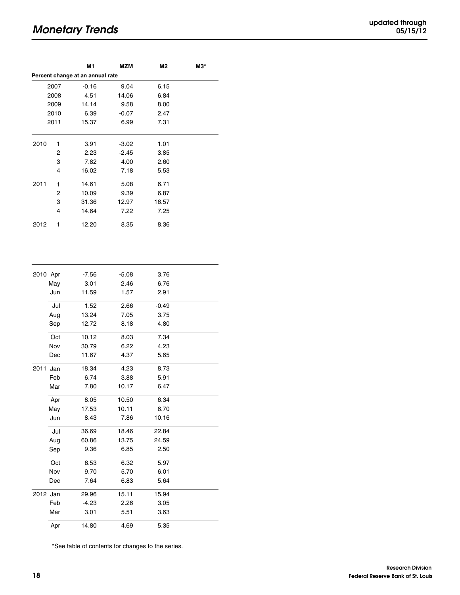# **Monetary Trends**

| updated through |  |          |
|-----------------|--|----------|
|                 |  | 05/15/12 |

|                      |      | M1                               | MZM     | M2      | МЗ* |
|----------------------|------|----------------------------------|---------|---------|-----|
|                      |      | Percent change at an annual rate |         |         |     |
|                      | 2007 | $-0.16$                          | 9.04    | 6.15    |     |
| 2008<br>2009<br>2010 |      | 4.51                             | 14.06   | 6.84    |     |
|                      |      | 14.14                            | 9.58    | 8.00    |     |
|                      |      | 6.39                             | $-0.07$ | 2.47    |     |
|                      | 2011 | 15.37                            | 6.99    | 7.31    |     |
| 2010                 | 1    | 3.91                             | $-3.02$ | 1.01    |     |
|                      | 2    | 2.23                             | $-2.45$ | 3.85    |     |
|                      | 3    | 7.82                             | 4.00    | 2.60    |     |
|                      | 4    | 16.02                            | 7.18    | 5.53    |     |
| 2011                 | 1    | 14.61                            | 5.08    | 6.71    |     |
|                      | 2    | 10.09                            | 9.39    | 6.87    |     |
|                      | 3    | 31.36                            | 12.97   | 16.57   |     |
|                      | 4    | 14.64                            | 7.22    | 7.25    |     |
| 2012                 | 1    | 12.20                            | 8.35    | 8.36    |     |
|                      |      |                                  |         |         |     |
| 2010 Apr             |      | $-7.56$                          | $-5.08$ | 3.76    |     |
|                      | May  | 3.01                             | 2.46    | 6.76    |     |
|                      | Jun  | 11.59                            | 1.57    | 2.91    |     |
|                      | Jul  | 1.52                             | 2.66    | $-0.49$ |     |
|                      | Aug  | 13.24                            | 7.05    | 3.75    |     |
|                      | Sep  | 12.72                            | 8.18    | 4.80    |     |
|                      | Oct  | 10.12                            | 8.03    | 7.34    |     |
|                      | Nov  | 30.79                            | 6.22    | 4.23    |     |
|                      | Dec  | 11.67                            | 4.37    | 5.65    |     |
| 2011 Jan             |      | 18.34                            | 4.23    | 8.73    |     |
|                      | Feb  | 6.74                             | 3.88    | 5.91    |     |
|                      | Mar  | 7.80                             | 10.17   | 6.47    |     |
|                      | Apr  | 8.05                             | 10.50   | 6.34    |     |
|                      | May  | 17.53                            | 10.11   | 6.70    |     |
|                      | Jun  | 8.43                             | 7.86    | 10.16   |     |
|                      | Jul  | 36.69                            | 18.46   | 22.84   |     |
|                      | Aug  | 60.86                            | 13.75   | 24.59   |     |
|                      | Sep  | 9.36                             | 6.85    | 2.50    |     |
|                      | Oct  | 8.53                             | 6.32    | 5.97    |     |
|                      | Nov  | 9.70                             | 5.70    | 6.01    |     |
|                      | Dec  | 7.64                             | 6.83    | 5.64    |     |
| 2012 Jan             |      | 29.96                            | 15.11   | 15.94   |     |
|                      | Feb  | $-4.23$                          | 2.26    | 3.05    |     |
|                      | Mar  | 3.01                             | 5.51    | 3.63    |     |
|                      | Apr  | 14.80                            | 4.69    | 5.35    |     |

\*See table of contents for changes to the series.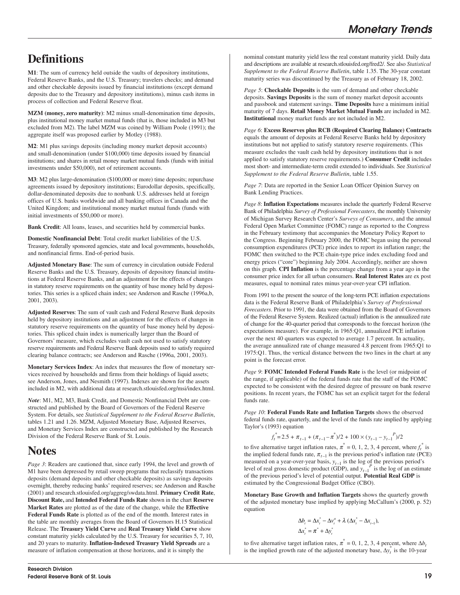# **Definitions**

**M1**: The sum of currency held outside the vaults of depository institutions, Federal Reserve Banks, and the U.S. Treasury; travelers checks; and demand and other checkable deposits issued by financial institutions (except demand deposits due to the Treasury and depository institutions), minus cash items in process of collection and Federal Reserve float.

**MZM (money, zero maturity)**: M2 minus small-denomination time deposits, plus institutional money market mutual funds (that is, those included in M3 but excluded from M2). The label MZM was coined by William Poole (1991); the aggregate itself was proposed earlier by Motley (1988).

**M2**: M1 plus savings deposits (including money market deposit accounts) and small-denomination (under \$100,000) time deposits issued by financial institutions; and shares in retail money market mutual funds (funds with initial investments under \$50,000), net of retirement accounts.

**M3**: M2 plus large-denomination (\$100,000 or more) time deposits; repurchase agreements issued by depository institutions; Eurodollar deposits, specifically, dollar-denominated deposits due to nonbank U.S. addresses held at foreign offices of U.S. banks worldwide and all banking offices in Canada and the United Kingdom; and institutional money market mutual funds (funds with initial investments of \$50,000 or more).

**Bank Credit**: All loans, leases, and securities held by commercial banks.

**Domestic Nonfinancial Debt**: Total credit market liabilities of the U.S. Treasury, federally sponsored agencies, state and local governments, households, and nonfinancial firms. End-of-period basis.

**Adjusted Monetary Base**: The sum of currency in circulation outside Federal Reserve Banks and the U.S. Treasury, deposits of depository financial institutions at Federal Reserve Banks, and an adjustment for the effects of changes in statutory reserve requirements on the quantity of base money held by depositories. This series is a spliced chain index; see Anderson and Rasche (1996a,b, 2001, 2003).

**Adjusted Reserves**: The sum of vault cash and Federal Reserve Bank deposits held by depository institutions and an adjustment for the effects of changes in statutory reserve requirements on the quantity of base money held by depositories. This spliced chain index is numerically larger than the Board of Governors' measure, which excludes vault cash not used to satisfy statutory reserve requirements and Federal Reserve Bank deposits used to satisfy required clearing balance contracts; see Anderson and Rasche (1996a, 2001, 2003).

**Monetary Services Index**: An index that measures the flow of monetary services received by households and firms from their holdings of liquid assets; see Anderson, Jones, and Nesmith (1997). Indexes are shown for the assets included in M2, with additional data at research.stlouisfed.org/msi/index.html.

*Note*: M1, M2, M3, Bank Credit, and Domestic Nonfinancial Debt are constructed and published by the Board of Governors of the Federal Reserve System. For details, see *Statistical Supplement to the Federal Reserve Bulletin*, tables 1.21 and 1.26. MZM, Adjusted Monetary Base, Adjusted Reserves, and Monetary Services Index are constructed and published by the Research Division of the Federal Reserve Bank of St. Louis.

# **Notes**

*Page 3*: Readers are cautioned that, since early 1994, the level and growth of M1 have been depressed by retail sweep programs that reclassify transactions deposits (demand deposits and other checkable deposits) as savings deposits overnight, thereby reducing banks' required reserves; see Anderson and Rasche (2001) and research.stlouisfed.org/aggreg/swdata.html. **Primary Credit Rate**, **Discount Rate,** and **Intended Federal Funds Rate** shown in the chart **Reserve Market Rates** are plotted as of the date of the change, while the **Effective Federal Funds Rate** is plotted as of the end of the month. Interest rates in the table are monthly averages from the Board of Governors H.15 Statistical Release. The **Treasury Yield Curve** and **Real Treasury Yield Curve** show constant maturity yields calculated by the U.S. Treasury for securities 5, 7, 10, and 20 years to maturity. **Inflation-Indexed Treasury Yield Spreads** are a measure of inflation compensation at those horizons, and it is simply the

nominal constant maturity yield less the real constant maturity yield. Daily data and descriptions are available at research.stlouisfed.org/fred2/. See also *Statistical Supplement to the Federal Reserve Bulletin*, table 1.35. The 30-year constant maturity series was discontinued by the Treasury as of February 18, 2002.

*Page 5*: **Checkable Deposits** is the sum of demand and other checkable deposits. **Savings Deposits** is the sum of money market deposit accounts and passbook and statement savings. **Time Deposits** have a minimum initial maturity of 7 days. **Retail Money Market Mutual Funds** are included in M2. **Institutional** money market funds are not included in M2.

*Page 6*: **Excess Reserves plus RCB (Required Clearing Balance) Contracts** equals the amount of deposits at Federal Reserve Banks held by depository institutions but not applied to satisfy statutory reserve requirements. (This measure excludes the vault cash held by depository institutions that is not applied to satisfy statutory reserve requirements.) **Consumer Credit** includes most short- and intermediate-term credit extended to individuals. See *Statistical Supplement to the Federal Reserve Bulletin*, table 1.55.

*Page 7*: Data are reported in the Senior Loan Officer Opinion Survey on Bank Lending Practices.

*Page 8*: **Inflation Expectations** measures include the quarterly Federal Reserve Bank of Philadelphia *Survey of Professional Forecasters*, the monthly University of Michigan Survey Research Center's *Surveys of Consumers*, and the annual Federal Open Market Committee (FOMC) range as reported to the Congress in the February testimony that accompanies the Monetary Policy Report to the Congress. Beginning February 2000, the FOMC began using the personal consumption expenditures (PCE) price index to report its inflation range; the FOMC then switched to the PCE chain-type price index excluding food and energy prices ("core") beginning July 2004. Accordingly, neither are shown on this graph. **CPI Inflation** is the percentage change from a year ago in the consumer price index for all urban consumers. **Real Interest Rates** are ex post measures, equal to nominal rates minus year-over-year CPI inflation.

From 1991 to the present the source of the long-term PCE inflation expectations data is the Federal Reserve Bank of Philadelphia's *Survey of Professional Forecasters*. Prior to 1991, the data were obtained from the Board of Governors of the Federal Reserve System. Realized (actual) inflation is the annualized rate of change for the 40-quarter period that corresponds to the forecast horizon (the expectations measure). For example, in 1965:Q1, annualized PCE inflation over the next 40 quarters was expected to average 1.7 percent. In actuality, the average annualized rate of change measured 4.8 percent from 1965:Q1 to 1975:Q1. Thus, the vertical distance between the two lines in the chart at any point is the forecast error.

*Page 9*: **FOMC Intended Federal Funds Rate** is the level (or midpoint of the range, if applicable) of the federal funds rate that the staff of the FOMC expected to be consistent with the desired degree of pressure on bank reserve positions. In recent years, the FOMC has set an explicit target for the federal funds rate.

*Page 10*: **Federal Funds Rate and Inflation Targets** shows the observed federal funds rate, quarterly, and the level of the funds rate implied by applying Taylor's (1993) equation

$$
f_t^* = 2.5 + \pi_{t-1} + (\pi_{t-1} - \pi^*)/2 + 100 \times (y_{t-1} - y_{t-1}^P)/2
$$

to five alternative target inflation rates,  $\pi^* = 0, 1, 2, 3, 4$  percent, where  $f_t^*$  is the implied federal funds rate,  $\pi_{t-1}$  is the previous period's inflation rate (PCE) measured on a year-over-year basis,  $y_{t-1}$  is the log of the previous period's level of real gross domestic product (GDP), and  $y_{t-1}^P$  is the log of an estimate of the previous period's level of potential output. **Potential Real GDP** is estimated by the Congressional Budget Office (CBO).

**Monetary Base Growth and Inflation Targets** shows the quarterly growth of the adjusted monetary base implied by applying McCallum's (2000, p. 52) equation

$$
\Delta b_{t} = \Delta x_{t}^{*} - \Delta v_{t}^{a} + \lambda (\Delta x_{t}^{*} - \Delta x_{t-1}),
$$
  

$$
\Delta x_{t}^{*} = \pi^{*} + \Delta y_{t}^{*}
$$

to five alternative target inflation rates,  $\pi^* = 0, 1, 2, 3, 4$  percent, where  $\Delta b_t$ is the implied growth rate of the adjusted monetary base,  $\Delta y_t^*$  is the 10-year